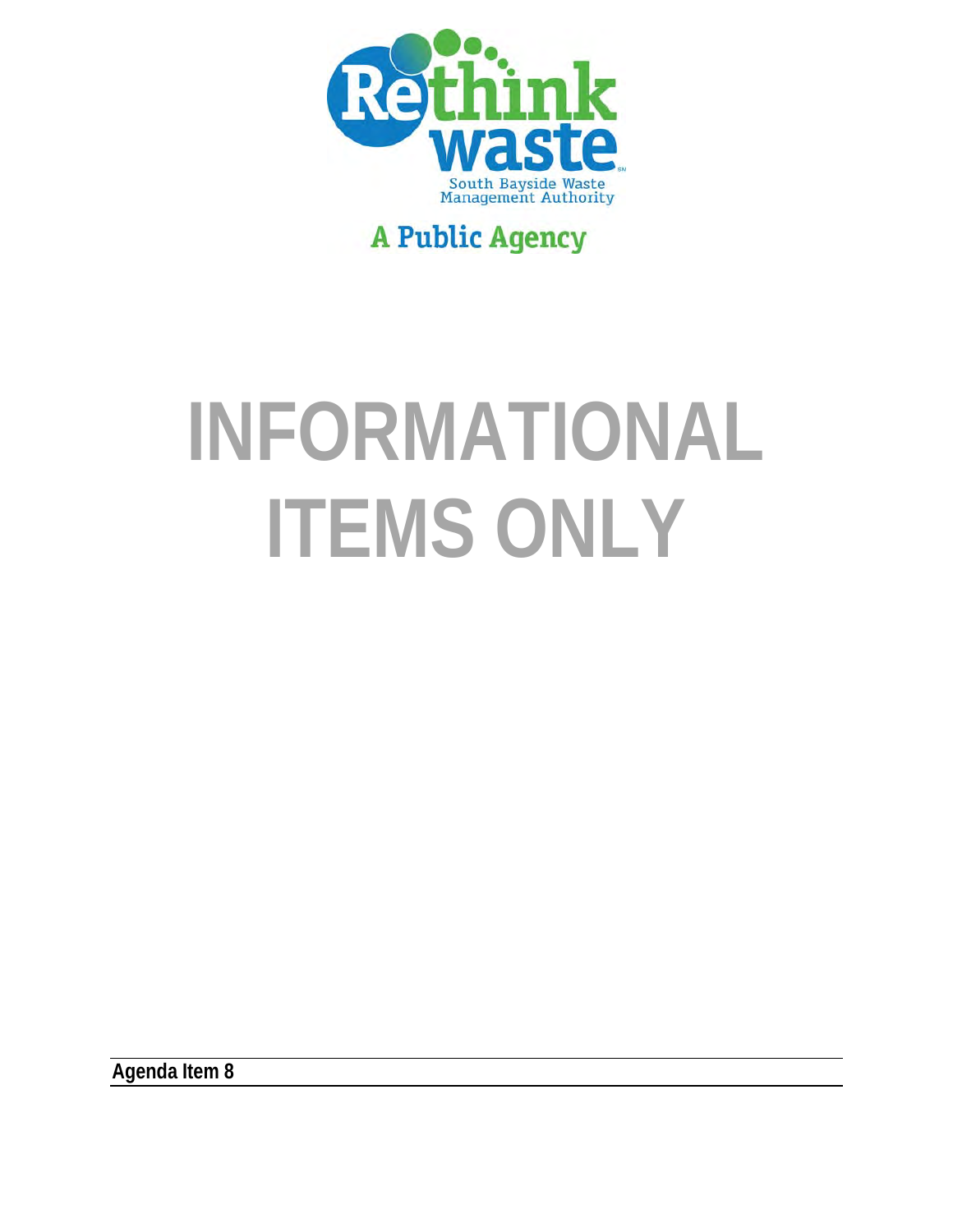

## **A Public Agency**

# **INFORMATIONAL ITEMS ONLY**

**Agenda Item 8**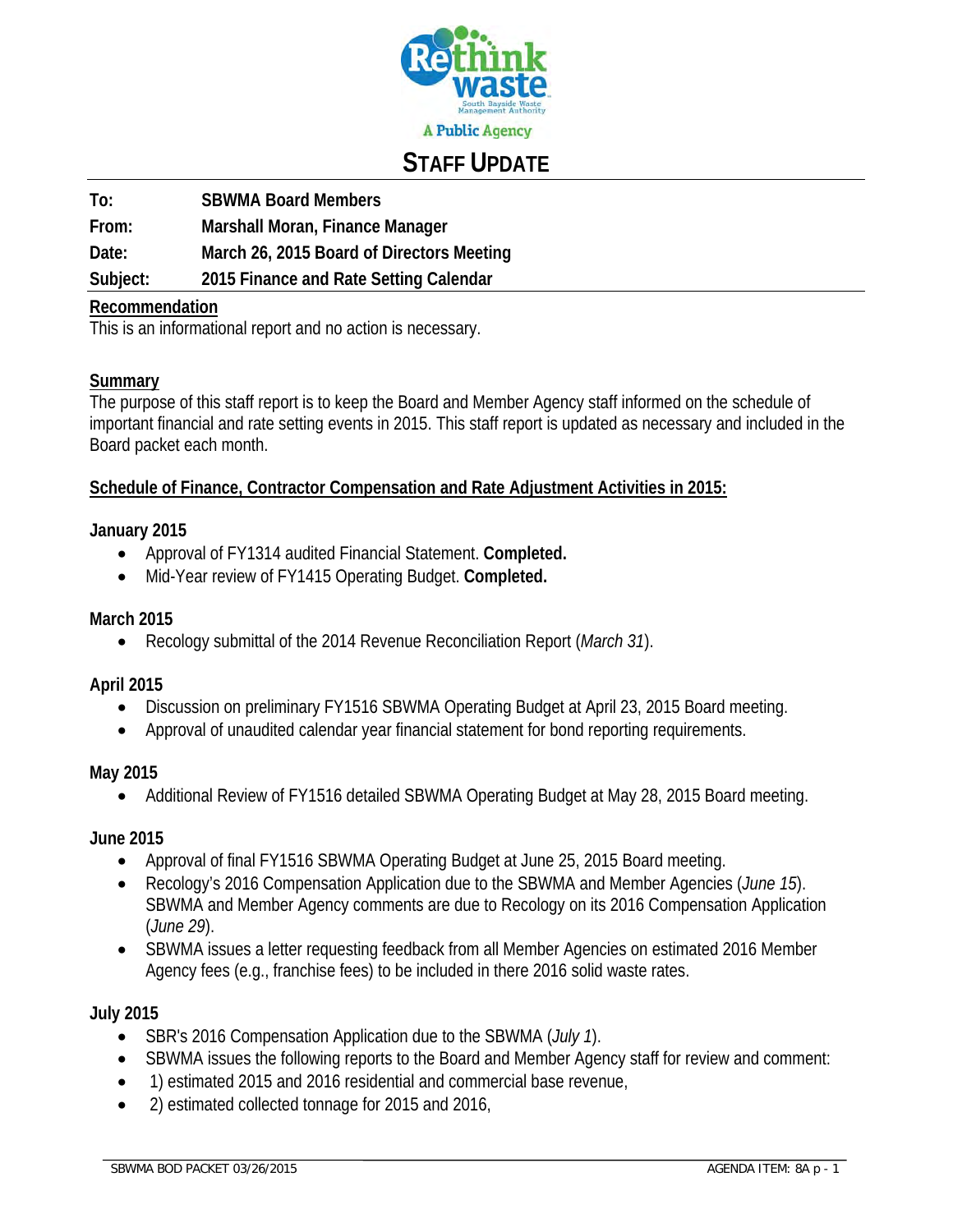

## **STAFF UPDATE**

**To: SBWMA Board Members** 

**From: Marshall Moran, Finance Manager** 

**Date: March 26, 2015 Board of Directors Meeting** 

**Subject: 2015 Finance and Rate Setting Calendar** 

#### **Recommendation**

This is an informational report and no action is necessary.

#### **Summary**

The purpose of this staff report is to keep the Board and Member Agency staff informed on the schedule of important financial and rate setting events in 2015. This staff report is updated as necessary and included in the Board packet each month.

#### **Schedule of Finance, Contractor Compensation and Rate Adjustment Activities in 2015:**

#### **January 2015**

- Approval of FY1314 audited Financial Statement. **Completed.**
- Mid-Year review of FY1415 Operating Budget. **Completed.**

#### **March 2015**

Recology submittal of the 2014 Revenue Reconciliation Report (*March 31*).

#### **April 2015**

- Discussion on preliminary FY1516 SBWMA Operating Budget at April 23, 2015 Board meeting.
- Approval of unaudited calendar year financial statement for bond reporting requirements.

#### **May 2015**

Additional Review of FY1516 detailed SBWMA Operating Budget at May 28, 2015 Board meeting.

#### **June 2015**

- Approval of final FY1516 SBWMA Operating Budget at June 25, 2015 Board meeting.
- Recology's 2016 Compensation Application due to the SBWMA and Member Agencies (*June 15*). SBWMA and Member Agency comments are due to Recology on its 2016 Compensation Application (*June 29*).
- SBWMA issues a letter requesting feedback from all Member Agencies on estimated 2016 Member Agency fees (e.g., franchise fees) to be included in there 2016 solid waste rates.

#### **July 2015**

- SBR's 2016 Compensation Application due to the SBWMA (*July 1*).
- SBWMA issues the following reports to the Board and Member Agency staff for review and comment:
- 1) estimated 2015 and 2016 residential and commercial base revenue,
- 2) estimated collected tonnage for 2015 and 2016,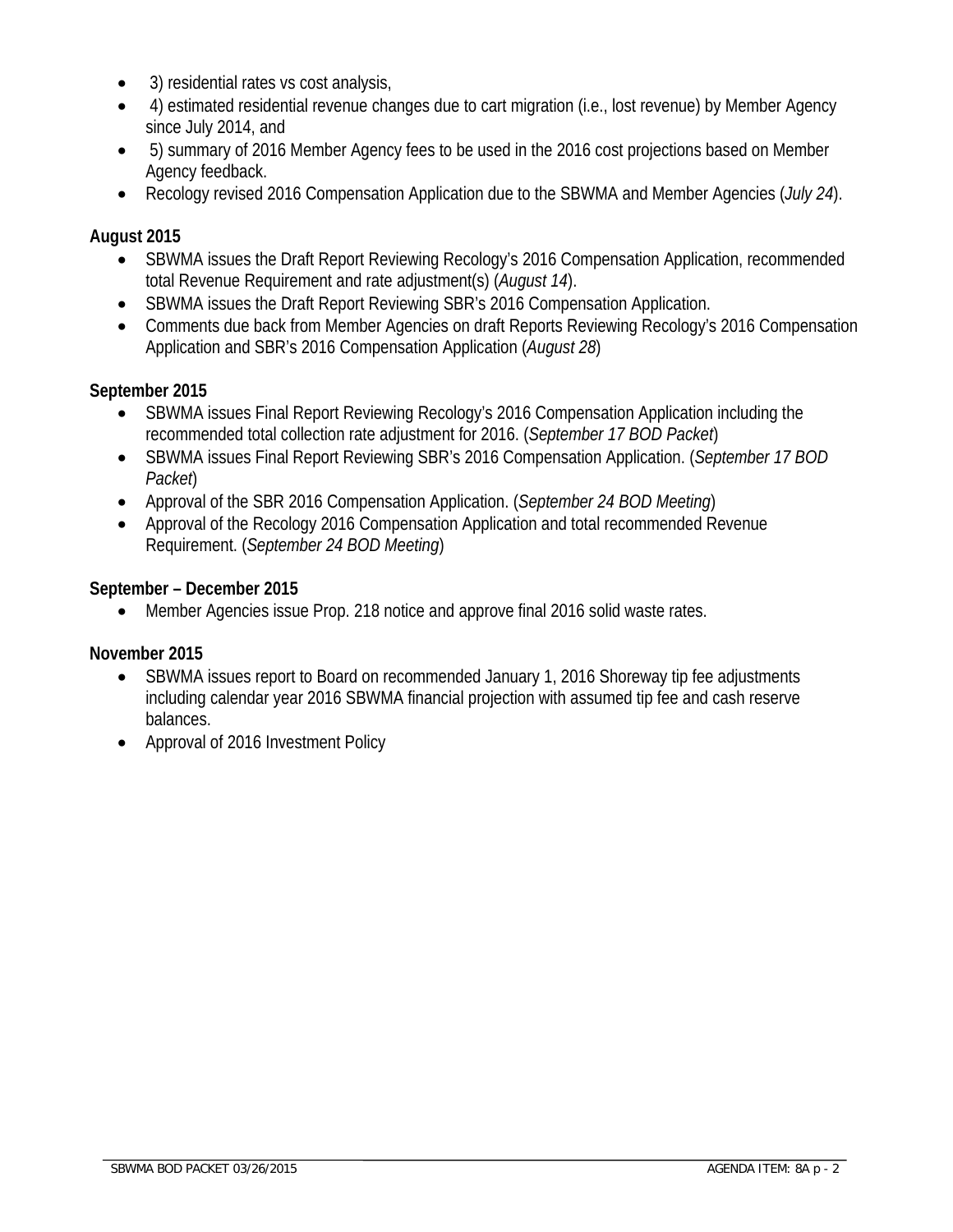- 3) residential rates vs cost analysis,
- 4) estimated residential revenue changes due to cart migration (i.e., lost revenue) by Member Agency since July 2014, and
- 5) summary of 2016 Member Agency fees to be used in the 2016 cost projections based on Member Agency feedback.
- Recology revised 2016 Compensation Application due to the SBWMA and Member Agencies (*July 24*).

#### **August 2015**

- SBWMA issues the Draft Report Reviewing Recology's 2016 Compensation Application, recommended total Revenue Requirement and rate adjustment(s) (*August 14*).
- SBWMA issues the Draft Report Reviewing SBR's 2016 Compensation Application.
- Comments due back from Member Agencies on draft Reports Reviewing Recology's 2016 Compensation Application and SBR's 2016 Compensation Application (*August 28*)

#### **September 2015**

- SBWMA issues Final Report Reviewing Recology's 2016 Compensation Application including the recommended total collection rate adjustment for 2016. (*September 17 BOD Packet*)
- SBWMA issues Final Report Reviewing SBR's 2016 Compensation Application. (*September 17 BOD Packet*)
- Approval of the SBR 2016 Compensation Application. (*September 24 BOD Meeting*)
- Approval of the Recology 2016 Compensation Application and total recommended Revenue Requirement. (*September 24 BOD Meeting*)

#### **September – December 2015**

Member Agencies issue Prop. 218 notice and approve final 2016 solid waste rates.

#### **November 2015**

- SBWMA issues report to Board on recommended January 1, 2016 Shoreway tip fee adjustments including calendar year 2016 SBWMA financial projection with assumed tip fee and cash reserve balances.
- Approval of 2016 Investment Policy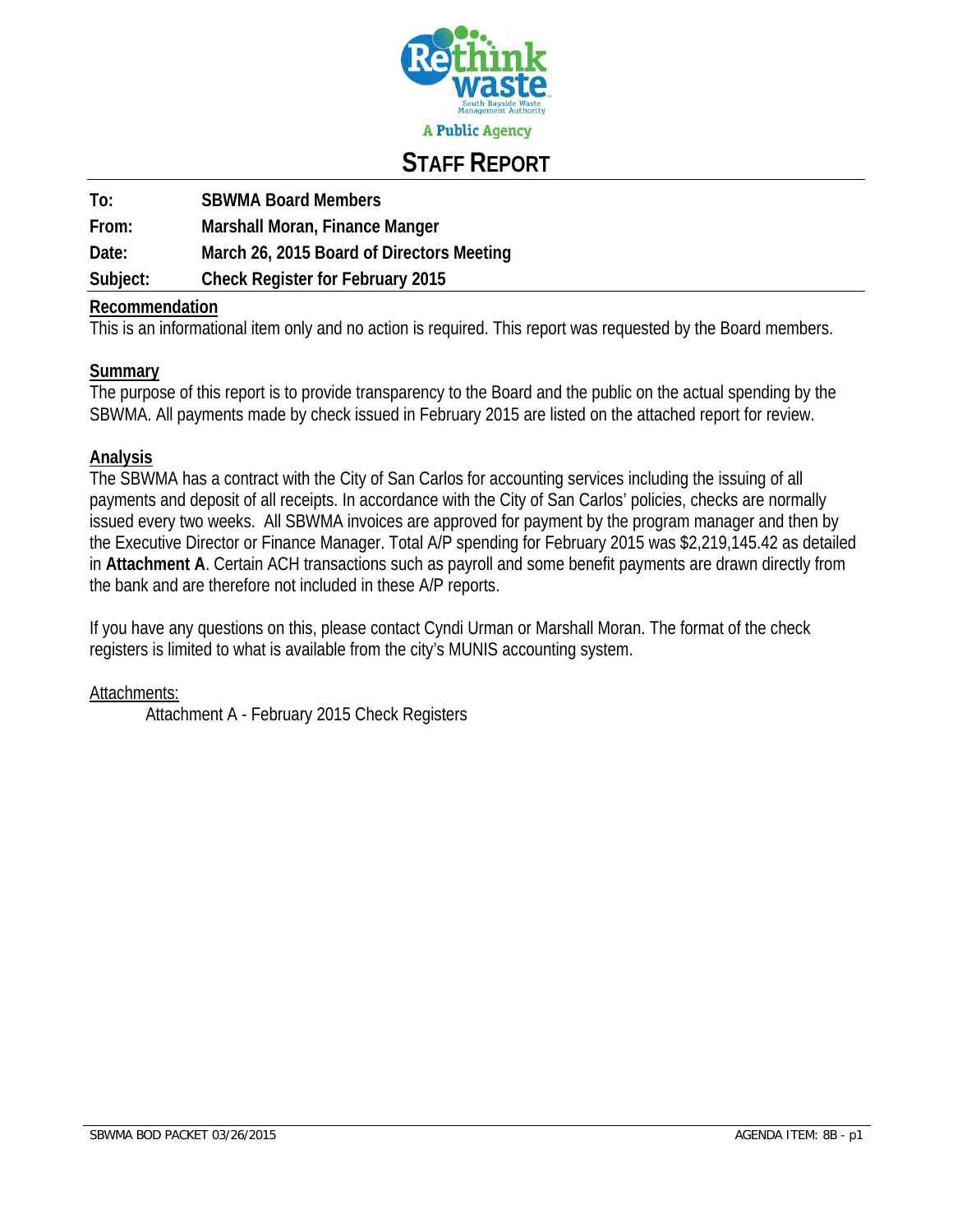

### **STAFF REPORT**

| To:      | <b>SBWMA Board Members</b>                |
|----------|-------------------------------------------|
| From:    | Marshall Moran, Finance Manger            |
| Date:    | March 26, 2015 Board of Directors Meeting |
| Subject: | <b>Check Register for February 2015</b>   |

#### **Recommendation**

This is an informational item only and no action is required. This report was requested by the Board members.

#### **Summary**

The purpose of this report is to provide transparency to the Board and the public on the actual spending by the SBWMA. All payments made by check issued in February 2015 are listed on the attached report for review.

#### **Analysis**

The SBWMA has a contract with the City of San Carlos for accounting services including the issuing of all payments and deposit of all receipts. In accordance with the City of San Carlos' policies, checks are normally issued every two weeks. All SBWMA invoices are approved for payment by the program manager and then by the Executive Director or Finance Manager. Total A/P spending for February 2015 was \$2,219,145.42 as detailed in **Attachment A**. Certain ACH transactions such as payroll and some benefit payments are drawn directly from the bank and are therefore not included in these A/P reports.

If you have any questions on this, please contact Cyndi Urman or Marshall Moran. The format of the check registers is limited to what is available from the city's MUNIS accounting system.

#### Attachments:

Attachment A - February 2015 Check Registers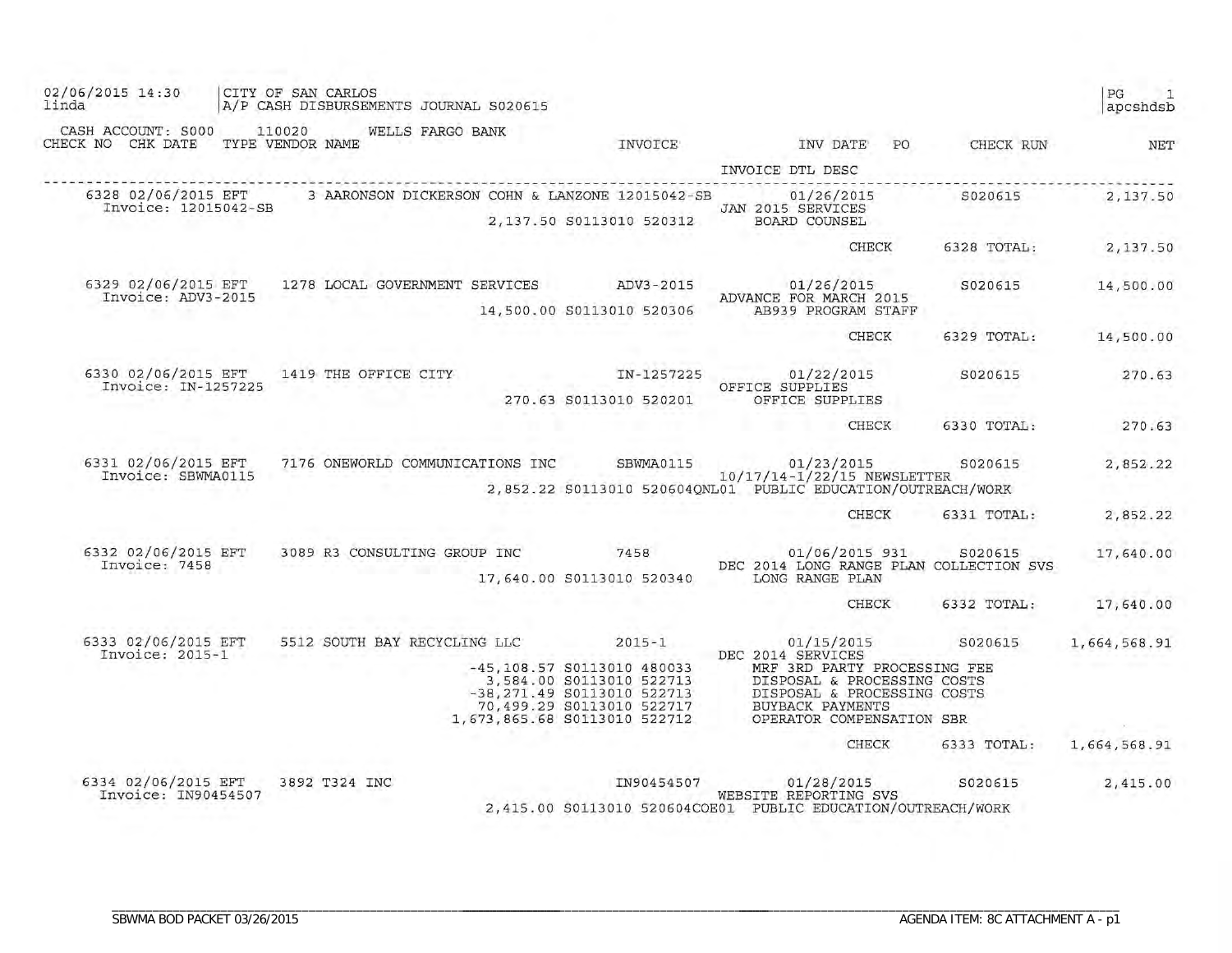| 02/06/2015 14:30<br>linda                                | CITY OF SAN CARLOS<br>A/P CASH DISBURSEMENTS JOURNAL S020615                                                                                                                                  |                            |                                            |                                                                                                                                                                                                                                      |                          | PG<br>apcshdsb                  |
|----------------------------------------------------------|-----------------------------------------------------------------------------------------------------------------------------------------------------------------------------------------------|----------------------------|--------------------------------------------|--------------------------------------------------------------------------------------------------------------------------------------------------------------------------------------------------------------------------------------|--------------------------|---------------------------------|
| CASH ACCOUNT: S000<br>CHECK NO CHK DATE TYPE VENDOR NAME | 110020<br>WELLS FARGO BANK                                                                                                                                                                    |                            | INVOICE                                    |                                                                                                                                                                                                                                      | INV DATE PO CHECK RUN    | NET                             |
|                                                          |                                                                                                                                                                                               |                            |                                            | INVOICE DTL DESC                                                                                                                                                                                                                     |                          |                                 |
| Invoice: 12015042-SB                                     | 6328 02/06/2015 EFT 3 AARONSON DICKERSON COHN & LANZONE 12015042-SB 3 01/26/2015                                                                                                              |                            | 2,137.50 S0113010 520312                   | JAN 2015 SERVICES<br>BOARD COUNSEL                                                                                                                                                                                                   | S020615                  | 2,137.50                        |
|                                                          |                                                                                                                                                                                               |                            |                                            | CHECK                                                                                                                                                                                                                                | 6328 TOTAL: 2,137.50     |                                 |
| 6329 02/06/2015 EFT<br>Invoice: ADV3-2015                | 1278 LOCAL GOVERNMENT SERVICES ADV3-2015 201/26/2015                                                                                                                                          |                            | $AUV = 1$<br>14,500.00 S0113010 520306     | ADVANCE FOR MARCH 2015<br>AB939 PROGRAM STAFF                                                                                                                                                                                        | S020615                  | 14,500.00                       |
|                                                          |                                                                                                                                                                                               |                            |                                            | CHECK                                                                                                                                                                                                                                | 6329 TOTAL:              | 14,500.00                       |
| 6330 02/06/2015 EFT<br>Invoice: IN-1257225               | 1419 THE OFFICE CITY                                                                                                                                                                          |                            | 그 가지 아이는 아이가 있다.<br>270.63 S0113010 520201 | IN-1257225 01/22/2015<br>OFFICE SUPPLIES<br>OFFICE SUPPLIES                                                                                                                                                                          | S020615                  | 270.63                          |
|                                                          |                                                                                                                                                                                               |                            |                                            | <b>TIP</b>                                                                                                                                                                                                                           | CHECK 6330 TOTAL: 270.63 |                                 |
| 6331 02/06/2015 EFT<br>Invoice: SBWMA0115                | 7176 ONEWORLD COMMUNICATIONS INC SBWMA0115 01/23/2015 8020615<br>10/17/14-1/22/15 NEWSLETTER                                                                                                  |                            |                                            | 2,852.22 S0113010 520604QNL01 PUBLIC EDUCATION/OUTREACH/WORK                                                                                                                                                                         |                          | 2,852.22                        |
|                                                          |                                                                                                                                                                                               |                            |                                            | <b>All the second control of the second second control of the second second control of the second second second second second second second second second second second second second second second second second second second </b> | CHECK 6331 TOTAL:        | 2,852.22                        |
| 6332 02/06/2015 EFT<br>Invoice: 7458                     | $3089 \text{ R3 CONSULTING GROUP INC} \begin{array}{l} 0.1/06/2015 \text{ P31} \end{array} \begin{array}{l} 0.20615 \\ 0.0007 \end{array}$ S020615<br>DEC 2014 LONG RANGE PLAN COLLECTION SVS |                            |                                            | 17,640.00 S0113010 520340 LONG RANGE PLAN                                                                                                                                                                                            | 01/06/2015 931 S020615   | 17,640.00                       |
|                                                          |                                                                                                                                                                                               |                            |                                            |                                                                                                                                                                                                                                      | CHECK<br>6332 TOTAL:     | 17,640.00                       |
| 6333 02/06/2015 EFT<br>Invoice: 2015-1                   | 5512 SOUTH BAY RECYCLING LLC 2015-1                                                                                                                                                           |                            | 1,673,865.68 S0113010 522712               | DEC 2014 SERVICES                                                                                                                                                                                                                    | 01/15/2015 S020615       | 1,664,568.91<br>the contract of |
|                                                          |                                                                                                                                                                                               |                            |                                            | <b>CHECK</b>                                                                                                                                                                                                                         | 6333 TOTAL:              | 1,664,568.91                    |
| 6334 02/06/2015 EFT<br>Invoice: IN90454507               | 3892 T324 INC                                                                                                                                                                                 | <b>Contract Art Avenue</b> |                                            | IN90454507 01/28/2015 S020615<br>WEBSITE REPORTING SVS<br>2,415.00 S0113010 520604COE01 PUBLIC EDUCATION/OUTREACH/WORK                                                                                                               |                          | 2,415.00                        |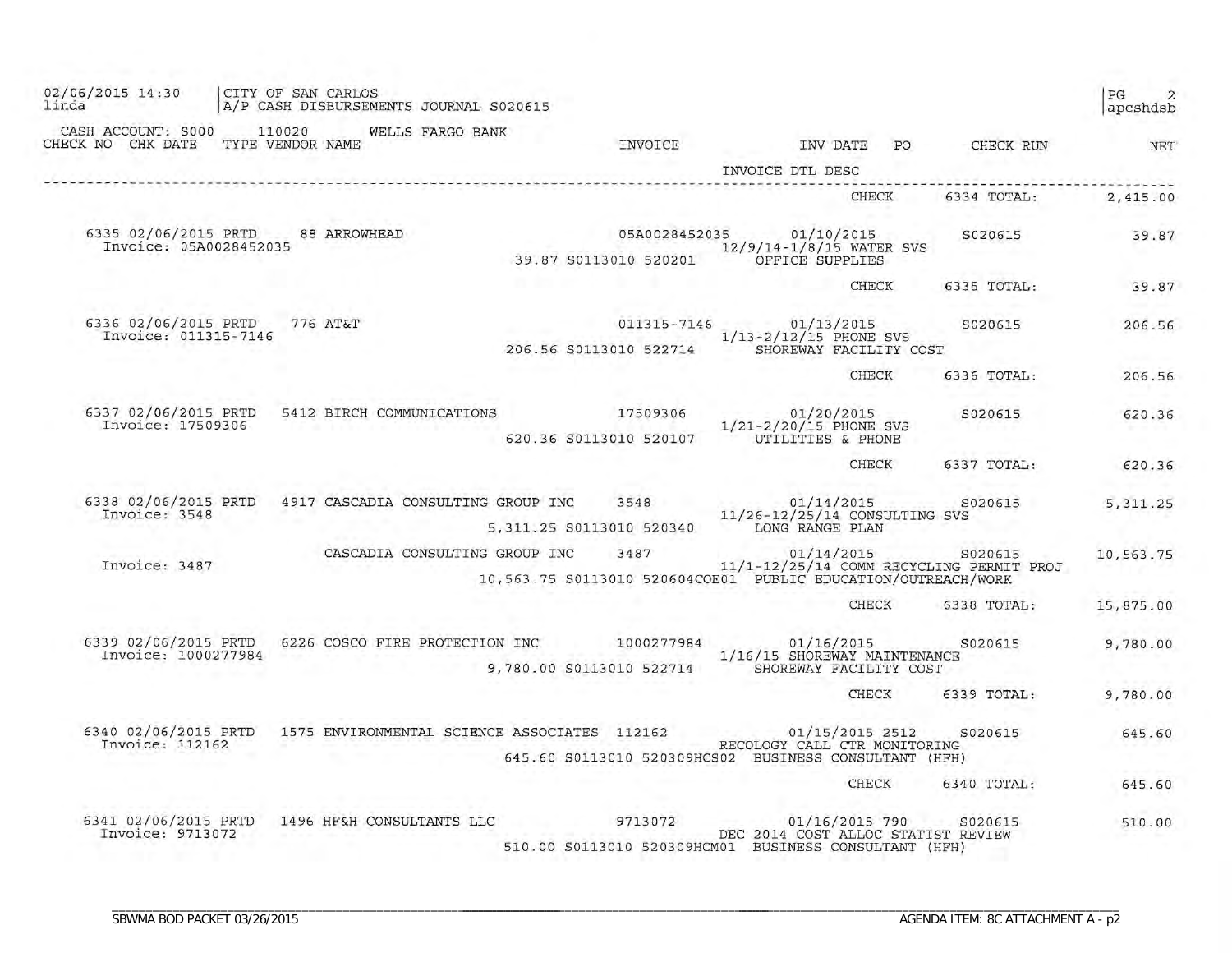| 02/06/2015 14:30<br>linda                   |                        |        | CITY OF SAN CARLOS        | A/P CASH DISBURSEMENTS JOURNAL S020615 |                                                                                                       |                                                                      |    |                                                     | PG<br>$\overline{2}$<br>apcshdsb |
|---------------------------------------------|------------------------|--------|---------------------------|----------------------------------------|-------------------------------------------------------------------------------------------------------|----------------------------------------------------------------------|----|-----------------------------------------------------|----------------------------------|
| CASH ACCOUNT: S000<br>CHECK NO CHK DATE     | TYPE VENDOR NAME       | 110020 |                           | WELLS FARGO BANK                       | INVOICE                                                                                               | INV DATE<br>INVOICE DTL DESC                                         | PO | CHECK RUN                                           | NET                              |
|                                             |                        |        |                           |                                        |                                                                                                       | <b>CHECK</b>                                                         |    | 6334 TOTAL:                                         | 2,415.00                         |
| 6335 02/06/2015 PRTD                        | Invoice: 05A0028452035 |        | 88 ARROWHEAD              |                                        | 05A0028452035<br>39.87 S0113010 520201                                                                | 01/10/2015<br>12/9/14-1/8/15 WATER SVS<br>OFFICE SUPPLIES            |    | S020615                                             | 39.87                            |
|                                             |                        |        |                           |                                        |                                                                                                       | CHECK                                                                |    | 6335 TOTAL:                                         | 39.87                            |
| 6336 02/06/2015 PRTD                        | Invoice: 011315-7146   |        | 776 AT&T                  |                                        | 011315-7146<br>206.56 S0113010 522714                                                                 | 01/13/2015<br>$1/13 - 2/12/15$ PHONE SVS<br>SHOREWAY FACILITY COST   |    | S020615                                             | 206.56                           |
|                                             |                        |        |                           |                                        |                                                                                                       | <b>CHECK</b>                                                         |    | 6336 TOTAL:                                         | 206.56                           |
| 6337 02/06/2015 PRTD<br>Invoice: 17509306   |                        |        |                           | 5412 BIRCH COMMUNICATIONS              | 17509306<br>620.36 S0113010 520107                                                                    | 01/20/2015<br>1/21-2/20/15 PHONE SVS<br>UTILITIES & PHONE            |    | S020615                                             | 620.36                           |
|                                             |                        |        |                           |                                        |                                                                                                       | <b>CHECK</b>                                                         |    | 6337 TOTAL:                                         | 620.36                           |
| 6338 02/06/2015 PRTD<br>Invoice: 3548       |                        |        |                           | 4917 CASCADIA CONSULTING GROUP INC     | 3548<br>5,311.25 S0113010 520340                                                                      | 01/14/2015<br>11/26-12/25/14 CONSULTING SVS<br>LONG RANGE PLAN       |    | S020615                                             | 5, 311.25                        |
| Invoice: 3487                               |                        |        |                           | CASCADIA CONSULTING GROUP INC          | 3487<br>10,563.75 S0113010 520604COE01 PUBLIC EDUCATION/OUTREACH/WORK                                 | 01/14/2015                                                           |    | S020615<br>11/1-12/25/14 COMM RECYCLING PERMIT PROJ | 10,563.75                        |
|                                             |                        |        |                           |                                        |                                                                                                       | CHECK                                                                |    | 6338 TOTAL:                                         | 15,875.00                        |
| 6339 02/06/2015 PRTD<br>Invoice: 1000277984 |                        |        |                           | 6226 COSCO FIRE PROTECTION INC         | 1000277984<br>9,780.00 S0113010 522714                                                                | 01/16/2015<br>1/16/15 SHOREWAY MAINTENANCE<br>SHOREWAY FACILITY COST |    | S020615                                             | 9,780.00                         |
|                                             |                        |        |                           |                                        |                                                                                                       | <b>CHECK</b>                                                         |    | 6339 TOTAL:                                         | 9,780.00                         |
| 6340 02/06/2015 PRTD<br>Invoice: 112162     |                        |        |                           |                                        | 1575 ENVIRONMENTAL SCIENCE ASSOCIATES 112162<br>645.60 S0113010 520309HCS02 BUSINESS CONSULTANT (HFH) | 01/15/2015 2512<br>RECOLOGY CALL CTR MONITORING                      |    | S020615                                             | 645.60                           |
|                                             |                        |        |                           |                                        |                                                                                                       | <b>CHECK</b>                                                         |    | 6340 TOTAL:                                         | 645.60                           |
| 6341 02/06/2015 PRTD<br>Invoice: 9713072    |                        |        | 1496 HF&H CONSULTANTS LLC |                                        | 9713072<br>510.00 S0113010 520309HCM01 BUSINESS CONSULTANT (HFH)                                      | 01/16/2015 790 S020615<br>DEC 2014 COST ALLOC STATIST REVIEW         |    | S020615                                             | 510.00                           |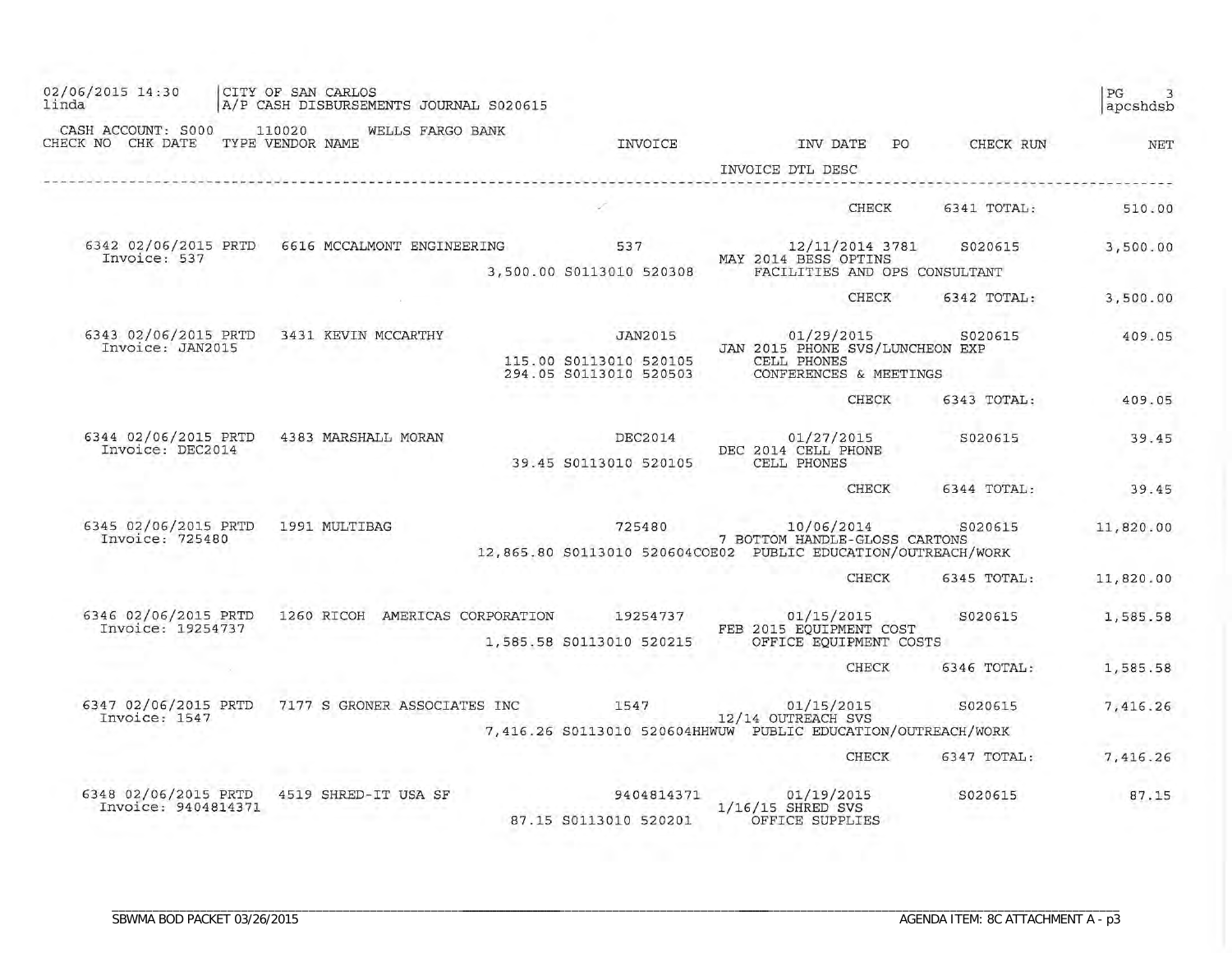| 02/06/2015 14:30<br>linda                   | CITY OF SAN CARLOS<br>A/P CASH DISBURSEMENTS JOURNAL S020615 |                                                                    |                                                                                                              |             | PG<br>3<br>apcshdsb |
|---------------------------------------------|--------------------------------------------------------------|--------------------------------------------------------------------|--------------------------------------------------------------------------------------------------------------|-------------|---------------------|
| CASH ACCOUNT: S000<br>CHECK NO CHK DATE     | 110020<br>WELLS FARGO BANK<br>TYPE VENDOR NAME               | INVOICE                                                            | INV DATE<br>PO<br>INVOICE DTL DESC                                                                           | CHECK RUN   | NET                 |
|                                             |                                                              |                                                                    | <b>CHECK</b>                                                                                                 | 6341 TOTAL: | 510.00              |
| 6342 02/06/2015 PRTD<br>Invoice: 537        | 6616 MCCALMONT ENGINEERING                                   | 537<br>3,500.00 S0113010 520308                                    | 12/11/2014 3781<br>MAY 2014 BESS OPTINS<br>FACILITIES AND OPS CONSULTANT                                     | S020615     | 3,500.00            |
|                                             |                                                              |                                                                    | CHECK                                                                                                        | 6342 TOTAL: | 3,500.00            |
| 6343 02/06/2015 PRTD<br>Invoice: JAN2015    | 3431 KEVIN MCCARTHY                                          | <b>JAN2015</b><br>115.00 S0113010 520105<br>294.05 S0113010 520503 | 01/29/2015<br>JAN 2015 PHONE SVS/LUNCHEON EXP<br>CELL PHONES<br>CONFERENCES & MEETINGS                       | S020615     | 409.05              |
|                                             |                                                              |                                                                    | CHECK                                                                                                        | 6343 TOTAL: | 409.05              |
| 6344 02/06/2015 PRTD<br>Invoice: DEC2014    | 4383 MARSHALL MORAN                                          | <b>DEC2014</b><br>39.45 S0113010 520105                            | 01/27/2015<br>DEC 2014 CELL PHONE<br>CELL PHONES                                                             | S020615     | 39.45               |
|                                             |                                                              |                                                                    | CHECK                                                                                                        | 6344 TOTAL: | 39.45               |
| 6345 02/06/2015 PRTD<br>Invoice: 725480     | 1991 MULTIBAG                                                | 725480                                                             | 10/06/2014<br>7 BOTTOM HANDLE-GLOSS CARTONS<br>12,865.80 S0113010 520604COE02 PUBLIC EDUCATION/OUTREACH/WORK | S020615     | 11,820.00           |
|                                             |                                                              |                                                                    | <b>CHECK</b>                                                                                                 | 6345 TOTAL: | 11,820.00           |
| 6346 02/06/2015 PRTD<br>Invoice: 19254737   | 1260 RICOH<br>AMERICAS CORPORATION                           | 19254737<br>1,585.58 S0113010 520215                               | 01/15/2015<br>FEB 2015 EQUIPMENT COST<br>OFFICE EQUIPMENT COSTS                                              | S020615     | 1,585.58            |
|                                             |                                                              |                                                                    | <b>CHECK</b>                                                                                                 | 6346 TOTAL: | 1,585.58            |
| 6347 02/06/2015 PRTD<br>Invoice: 1547       | 7177 S GRONER ASSOCIATES INC                                 | 1547                                                               | 01/15/2015<br>12/14 OUTREACH SVS<br>7,416.26 S0113010 520604HHWUW PUBLIC EDUCATION/OUTREACH/WORK             | S020615     | 7,416.26            |
|                                             |                                                              |                                                                    | <b>CHECK</b>                                                                                                 | 6347 TOTAL: | 7,416.26            |
| 6348 02/06/2015 PRTD<br>Invoice: 9404814371 | 4519 SHRED-IT USA SF                                         | 9404814371<br>87.15 S0113010 520201                                | 01/19/2015<br>$1/16/15$ SHRED SVS<br>OFFICE SUPPLIES                                                         | S020615     | 87.15               |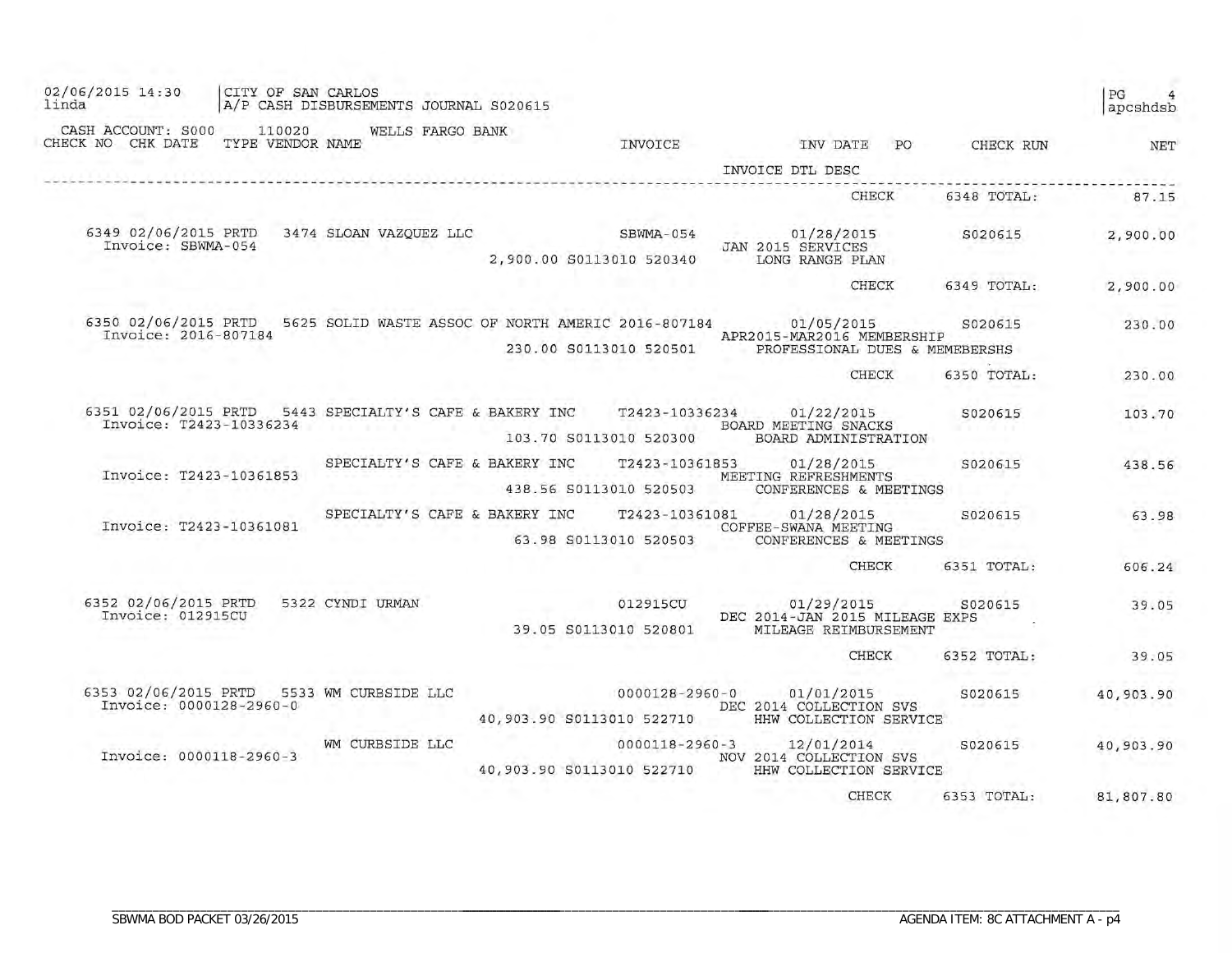| 02/06/2015 14:30<br>linda                       | CITY OF SAN CARLOS         | A/P CASH DISBURSEMENTS JOURNAL S020615                  |                           |                                          |                                                                                                                                                    |     |                     | PG<br>apcshdsb |
|-------------------------------------------------|----------------------------|---------------------------------------------------------|---------------------------|------------------------------------------|----------------------------------------------------------------------------------------------------------------------------------------------------|-----|---------------------|----------------|
| CASH ACCOUNT: S000<br>CHECK NO CHK DATE         | 110020<br>TYPE VENDOR NAME | WELLS FARGO BANK                                        |                           | INVOICE                                  | INV DATE                                                                                                                                           | PO. | CHECK RUN           | NET            |
|                                                 |                            |                                                         |                           |                                          | INVOICE DTL DESC                                                                                                                                   |     |                     |                |
|                                                 |                            |                                                         |                           |                                          | CHECK                                                                                                                                              |     | 6348 TOTAL:         | 87.15          |
| 6349 02/06/2015 PRTD<br>Invoice: SBWMA-054      |                            | 3474 SLOAN VAZQUEZ LLC                                  |                           | SBWMA-054<br>2,900.00 S0113010 520340    | 01/28/2015<br>JAN 2015 SERVICES<br>LONG RANGE PLAN                                                                                                 |     | S020615             | 2,900.00       |
|                                                 |                            |                                                         |                           |                                          | CHECK                                                                                                                                              |     | 6349 TOTAL:         | 2,900.00       |
| Invoice: 2016-807184                            |                            |                                                         |                           | 230.00 S0113010 520501                   | 6350 02/06/2015 PRTD 5625 SOLID WASTE ASSOC OF NORTH AMERIC 2016-807184 01/05/2015<br>APR2015-MAR2016 MEMBERSHIP<br>PROFESSIONAL DUES & MEMEBERSHS |     | S020615             | 230.00         |
|                                                 |                            |                                                         |                           |                                          | CHECK                                                                                                                                              |     | 6350 TOTAL:         | 230.00         |
| Invoice: T2423-10336234                         |                            | 6351 02/06/2015 PRTD 5443 SPECIALTY'S CAFE & BAKERY INC |                           | T2423-10336234<br>103.70 S0113010 520300 | 01/22/2015<br>BOARD MEETING SNACKS<br>BOARD ADMINISTRATION                                                                                         |     | S020615<br>An an an | 103.70         |
| Invoice: T2423-10361853                         |                            | SPECIALTY'S CAFE & BAKERY INC                           |                           | T2423-10361853<br>438.56 S0113010 520503 | 01/28/2015<br>MEETING REFRESHMENTS<br>CONFERENCES & MEETINGS                                                                                       |     | S020615             | 438.56         |
| Invoice: T2423-10361081                         |                            | SPECIALTY'S CAFE & BAKERY INC                           |                           | 63.98 S0113010 520503                    | T2423-10361081 01/28/2015<br>COFFEE-SWANA MEETING<br>CONFERENCES & MEETINGS                                                                        |     | S020615             | 63.98          |
|                                                 |                            |                                                         |                           |                                          | <b>CHECK</b>                                                                                                                                       |     | 6351 TOTAL:         | 606.24         |
| 6352 02/06/2015 PRTD<br>Invoice: 012915CU       |                            | 5322 CYNDI URMAN                                        |                           | 012915CU<br>39.05 S0113010 520801        | 01/29/2015<br>come also<br>DEC 2014-JAN 2015 MILEAGE EXPS<br>MILEAGE REIMBURSEMENT                                                                 |     | S020615             | 39.05          |
|                                                 |                            |                                                         |                           |                                          | <b>CHECK</b>                                                                                                                                       |     | 6352 TOTAL:         | 39.05          |
| 6353 02/06/2015 PRTD<br>Invoice: 0000128-2960-0 |                            | 5533 WM CURBSIDE LLC                                    | 40,903.90 S0113010 522710 | 0000128-2960-0                           | 01/01/2015<br>DEC 2014 COLLECTION SVS<br>HHW COLLECTION SERVICE                                                                                    |     | S020615             | 40,903.90      |
| Invoice: 0000118-2960-3                         |                            | WM CURBSIDE LLC                                         | 40,903.90 S0113010 522710 | 0000118-2960-3                           | 12/01/2014<br>NOV 2014 COLLECTION SVS<br>HHW COLLECTION SERVICE                                                                                    |     | S020615             | 40,903.90      |
|                                                 |                            |                                                         |                           |                                          | CHECK                                                                                                                                              |     | 6353 TOTAL:         | 81,807.80      |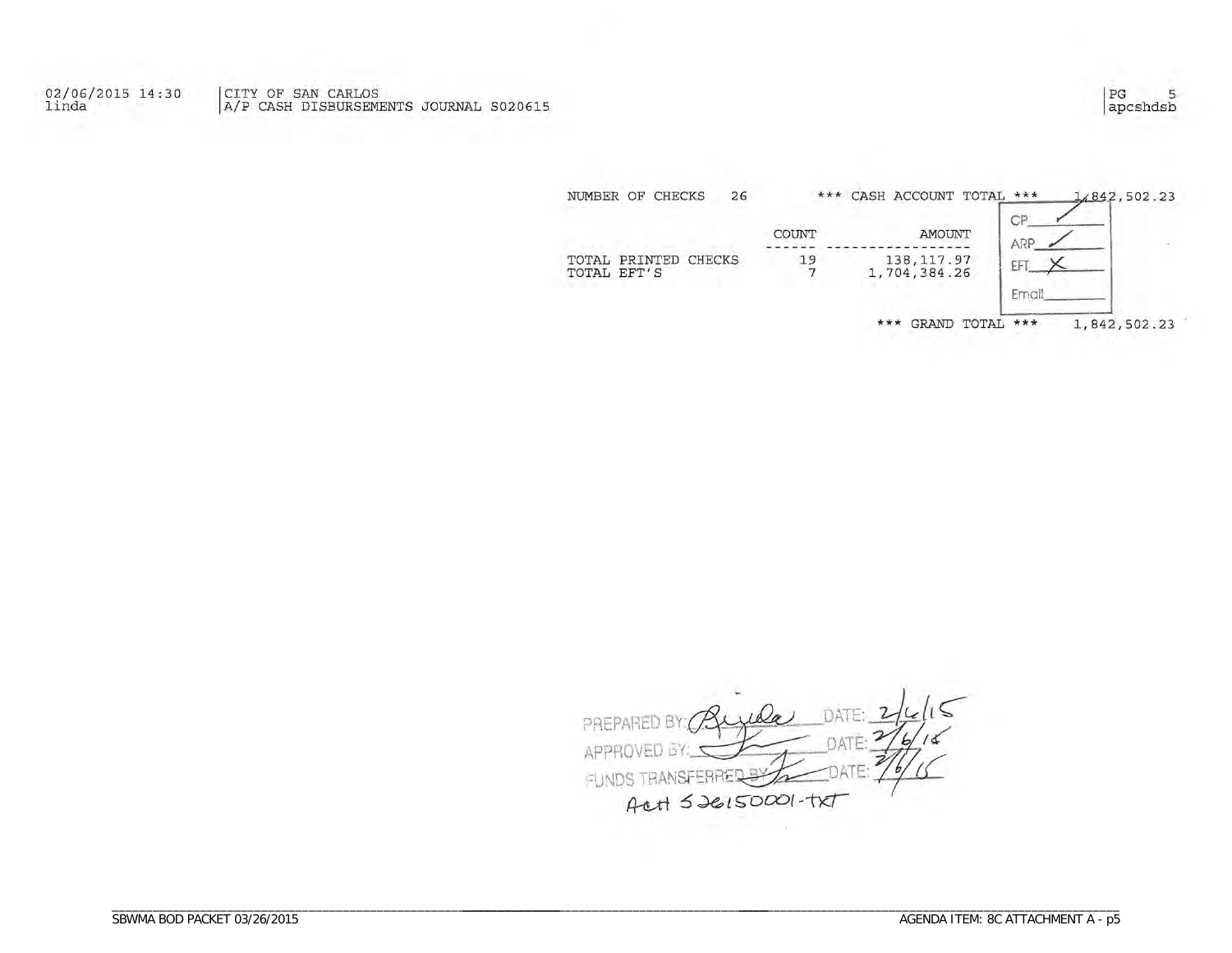02/06/2015 14:30<br>linda CITY OF SAN CARLOS<br>A/P CASH DISBURSEMENTS JOURNAL S020615

> NUMBER OF CHECKS \*\*\* CASH ACCOUNT TOTAL \*\*\* 26 1,842,502.23 CP COUNT AMOUNT ARP TOTAL PRINTED CHECKS TOTAL EFT'S  $\frac{19}{7}$ 138, 117.97<br>1,704, 384.26 Eł Emai 1,842,502.23 \*\*\* GRAND TOTAL \*\*\*

Da PREPARED B' APPF FRREDS **FUNDS TRANSF** Act 526150001-TXT

apcshdsb

5

 $|PG$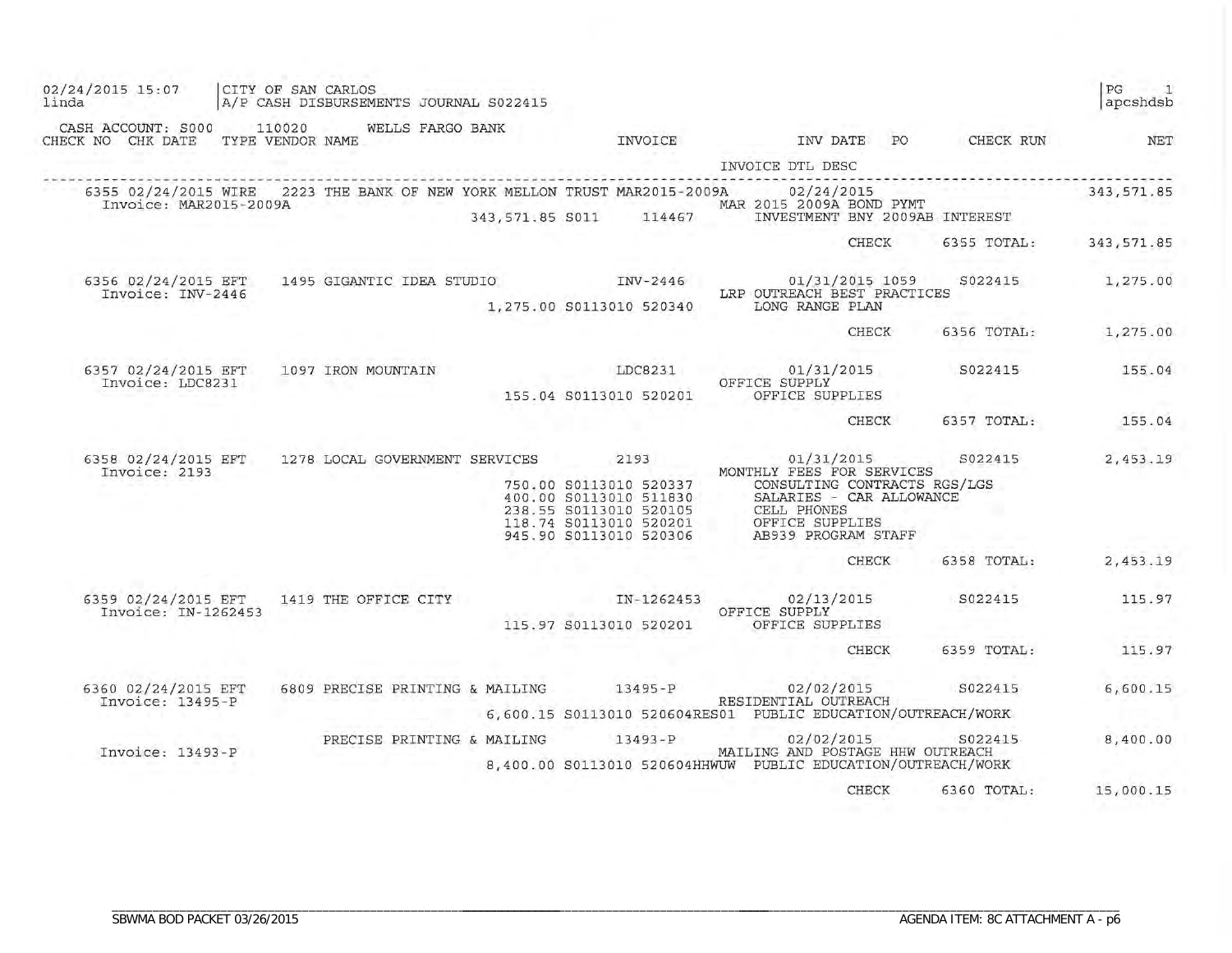| 02/24/2015 15:07<br>linda                                       | CITY OF SAN CARLOS | A/P CASH DISBURSEMENTS JOURNAL S022415   |                                                                                                                                        |                                                                                                                                                                                                             |                    | PG<br>$\overline{1}$<br>apcshdsb |
|-----------------------------------------------------------------|--------------------|------------------------------------------|----------------------------------------------------------------------------------------------------------------------------------------|-------------------------------------------------------------------------------------------------------------------------------------------------------------------------------------------------------------|--------------------|----------------------------------|
| CASH ACCOUNT: S000 110020 WELLS FARGO BANK<br>CHECK NO CHK DATE | TYPE VENDOR NAME   |                                          | INVOICE                                                                                                                                | INV DATE PO                                                                                                                                                                                                 | CHECK RUN          | NET                              |
|                                                                 |                    |                                          |                                                                                                                                        | INVOICE DTL DESC                                                                                                                                                                                            |                    |                                  |
| Invoice: MAR2015-2009A                                          |                    |                                          | 6355 02/24/2015 WIRE 2223 THE BANK OF NEW YORK MELLON TRUST MAR2015-2009A                                                              | 02/24/2015<br>MAR 2015 2009A BOND PYMT<br>343,571.85 S011 114467 INVESTMENT BNY 2009AB<br>INVESTMENT BNY 2009AB INTEREST                                                                                    |                    | 343, 571.85                      |
|                                                                 |                    |                                          |                                                                                                                                        | CHECK                                                                                                                                                                                                       |                    | 6355 TOTAL: 343,571.85           |
| 6356 02/24/2015 EFT<br>Invoice: INV-2446                        |                    |                                          |                                                                                                                                        | 1495 GIGANTIC IDEA STUDIO 1NV-2446 01/31/2015 1059<br>LRP OUTREACH BEST PRACTICES                                                                                                                           |                    | S022415<br>1,275.00              |
|                                                                 |                    |                                          | 1,275.00 S0113010 520340                                                                                                               | LONG RANGE PLAN                                                                                                                                                                                             |                    |                                  |
|                                                                 |                    |                                          |                                                                                                                                        | CHECK                                                                                                                                                                                                       | 6356 TOTAL:        | 1,275.00                         |
| 6357 02/24/2015 EFT<br>Invoice: LDC8231                         |                    | 1097 IRON MOUNTAIN                       | LDC8231                                                                                                                                | 01/31/2015<br>OFFICE SUPPLY                                                                                                                                                                                 | S022415            | 155.04                           |
|                                                                 |                    |                                          | 155.04 S0113010 520201                                                                                                                 | OFFICE SUPPLIES                                                                                                                                                                                             |                    |                                  |
|                                                                 |                    |                                          |                                                                                                                                        | CHECK                                                                                                                                                                                                       | 6357 TOTAL:        | 155.04                           |
| 6358 02/24/2015 EFT<br>Invoice: 2193                            |                    | 1278 LOCAL GOVERNMENT SERVICES           | 2193<br>750.00 S0113010 520337<br>400.00 S0113010 511830<br>238.55 S0113010 520105<br>118.74 S0113010 520201<br>945.90 S0113010 520306 | 01/31/2015<br>MONTHLY FEES FOR SERVICES<br>CONSULTING CONTRACTS RGS/LGS<br>SALARIES - CAR ALLOWANCE<br>SALARIES - CAR <i>I</i><br>CELL PHONES<br>OFFICE SUPPLIES<br>AB939 PROGRAM ST<br>AB939 PROGRAM STAFF |                    | S022415<br>2,453.19              |
|                                                                 |                    |                                          |                                                                                                                                        | CHECK                                                                                                                                                                                                       | 6358 TOTAL:        | 2,453.19                         |
| Invoice: IN-1262453                                             |                    | 6359 02/24/2015 EFT 1419 THE OFFICE CITY | 115.97 S0113010 520201                                                                                                                 | IN-1262453 02/13/2015<br>OFFICE SUPPLY<br>OFFICE SUPPLIES                                                                                                                                                   | S022415            | 115.97                           |
|                                                                 |                    |                                          |                                                                                                                                        | CHECK                                                                                                                                                                                                       | 6359 TOTAL:        | 115.97                           |
| 6360 02/24/2015 EFT<br>Invoice: 13495-P                         |                    | 6809 PRECISE PRINTING & MAILING 13495-P  |                                                                                                                                        | RESIDENTIAL OUTREACH<br>6,600.15 S0113010 520604RES01 PUBLIC EDUCATION/OUTREACH/WORK                                                                                                                        | 02/02/2015 S022415 | 6,600.15                         |
| Invoice: 13493-P                                                |                    | PRECISE PRINTING & MAILING               | $13493 - P$                                                                                                                            | MAILING AND POSTAGE HHW OUTREACH<br>8,400.00 S0113010 520604HHWUW PUBLIC EDUCATION/OUTREACH/WORK                                                                                                            | 02/02/2015 S022415 | 8,400.00                         |
|                                                                 |                    |                                          |                                                                                                                                        | CHECK                                                                                                                                                                                                       | 6360 TOTAL:        | 15,000.15                        |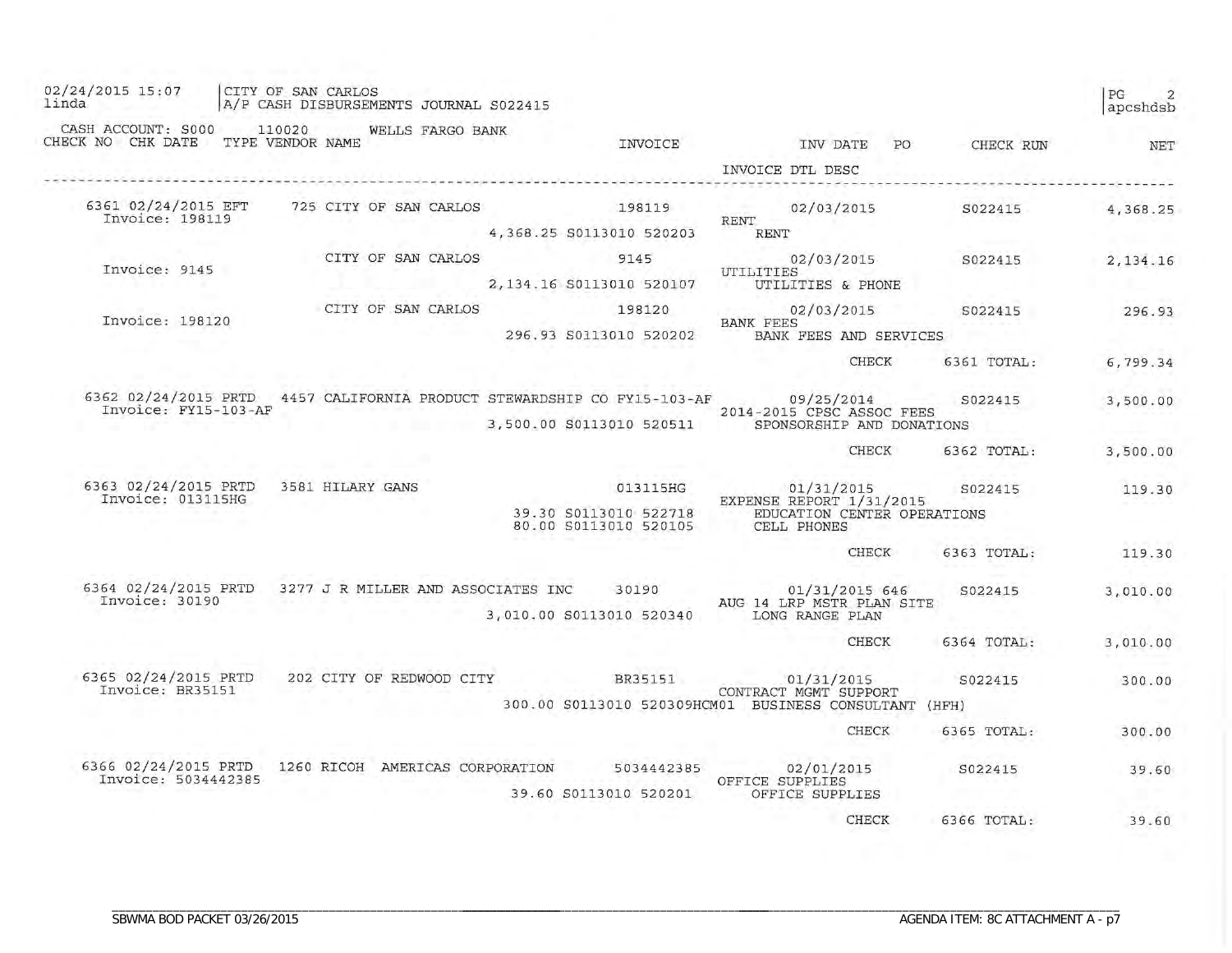| 02/24/2015 15:07<br>linda                                               | CITY OF SAN CARLOS         |                  |                 | A/P CASH DISBURSEMENTS JOURNAL S022415 |  |                                    |                                                |                                                        |                                                                                |                        |    |             | PG<br>2<br>apcshdsb |
|-------------------------------------------------------------------------|----------------------------|------------------|-----------------|----------------------------------------|--|------------------------------------|------------------------------------------------|--------------------------------------------------------|--------------------------------------------------------------------------------|------------------------|----|-------------|---------------------|
| CASH ACCOUNT: S000<br>CHECK NO CHK DATE                                 | 110020<br>TYPE VENDOR NAME |                  | <b>STANDARD</b> | WELLS FARGO BANK                       |  |                                    | INVOICE                                        |                                                        |                                                                                | INV DATE               | PO | CHECK RUN   | NET                 |
|                                                                         |                            |                  |                 |                                        |  |                                    |                                                |                                                        |                                                                                | INVOICE DTL DESC       |    |             |                     |
| 6361 02/24/2015 EFT                                                     |                            |                  |                 | 725 CITY OF SAN CARLOS                 |  |                                    | 198119                                         |                                                        |                                                                                | 02/03/2015             |    | S022415     | 4,368.25            |
| Invoice: 198119                                                         |                            |                  |                 |                                        |  |                                    | 4,368.25 S0113010 520203                       |                                                        | RENT<br><b>RENT</b>                                                            |                        |    |             |                     |
|                                                                         |                            |                  |                 | CITY OF SAN CARLOS                     |  |                                    | 9145                                           |                                                        |                                                                                | 02/03/2015             |    | S022415     | 2, 134.16           |
| Invoice: 9145                                                           |                            |                  |                 |                                        |  |                                    | 2,134.16 S0113010 520107                       |                                                        | UTILITIES                                                                      | UTILITIES & PHONE      |    |             |                     |
| Invoice: 198120                                                         |                            |                  |                 | CITY OF SAN CARLOS                     |  |                                    | 198120                                         |                                                        |                                                                                | 02/03/2015             |    | S022415     | 296.93              |
|                                                                         |                            |                  |                 |                                        |  |                                    | 296.93 S0113010 520202                         |                                                        | <b>BANK FEES</b>                                                               | BANK FEES AND SERVICES |    |             |                     |
|                                                                         |                            |                  |                 |                                        |  |                                    |                                                |                                                        |                                                                                | <b>CHECK</b>           |    | 6361 TOTAL: | 6,799.34            |
| 6362 02/24/2015 PRTD 4457 CALIFORNIA PRODUCT STEWARDSHIP CO FY15-103-AF |                            |                  |                 |                                        |  |                                    |                                                |                                                        |                                                                                | 09/25/2014             |    | S022415     | 3,500.00            |
| Invoice: FY15-103-AF                                                    |                            |                  |                 |                                        |  | 3,500.00 S0113010 520511           |                                                | 2014-2015 CPSC ASSOC FEES<br>SPONSORSHIP AND DONATIONS |                                                                                |                        |    |             |                     |
|                                                                         |                            |                  |                 |                                        |  |                                    |                                                |                                                        |                                                                                | <b>CHECK</b>           |    | 6362 TOTAL: | 3,500.00            |
| 6363 02/24/2015 PRTD                                                    |                            | 3581 HILARY GANS |                 |                                        |  |                                    | 013115HG                                       |                                                        |                                                                                | 01/31/2015             |    | S022415     | 119.30              |
| Invoice: 013115HG                                                       |                            |                  |                 |                                        |  |                                    | 39.30 S0113010 522718<br>80.00 S0113010 520105 |                                                        | EXPENSE REPORT 1/31/2015<br>EDUCATION CENTER OPERATIONS<br>CELL PHONES         |                        |    |             |                     |
|                                                                         |                            |                  |                 |                                        |  |                                    |                                                |                                                        |                                                                                | CHECK                  |    | 6363 TOTAL: | 119.30              |
| 6364 02/24/2015 PRTD                                                    |                            |                  |                 |                                        |  | 3277 J R MILLER AND ASSOCIATES INC | 30190                                          |                                                        |                                                                                | 01/31/2015 646         |    | S022415     | 3,010.00            |
| Invoice: 30190                                                          |                            |                  |                 |                                        |  |                                    | 3,010.00 S0113010 520340                       | AUG 14 LRP MSTR PLAN SITE<br>LONG RANGE PLAN           |                                                                                |                        |    |             |                     |
|                                                                         |                            |                  |                 |                                        |  |                                    |                                                |                                                        |                                                                                | CHECK                  |    | 6364 TOTAL: | 3,010.00            |
| 6365 02/24/2015 PRTD                                                    |                            |                  |                 | 202 CITY OF REDWOOD CITY               |  |                                    | BR35151                                        |                                                        |                                                                                | 01/31/2015             |    | S022415     | 300.00              |
| Invoice: BR35151                                                        |                            |                  |                 |                                        |  |                                    |                                                |                                                        | CONTRACT MGMT SUPPORT<br>300.00 S0113010 520309HCM01 BUSINESS CONSULTANT (HFH) |                        |    |             |                     |
|                                                                         |                            |                  |                 |                                        |  |                                    |                                                |                                                        |                                                                                | <b>CHECK</b>           |    | 6365 TOTAL: | 300.00              |
| 6366 02/24/2015 PRTD                                                    |                            |                  |                 |                                        |  | 1260 RICOH AMERICAS CORPORATION    | 5034442385                                     |                                                        |                                                                                | 02/01/2015             |    | S022415     | 39.60               |
| Invoice: 5034442385                                                     |                            |                  |                 |                                        |  |                                    | 39.60 S0113010 520201                          |                                                        | OFFICE SUPPLIES                                                                | OFFICE SUPPLIES        |    |             |                     |
|                                                                         |                            |                  |                 |                                        |  |                                    |                                                |                                                        |                                                                                | <b>CHECK</b>           |    | 6366 TOTAL: | 39.60               |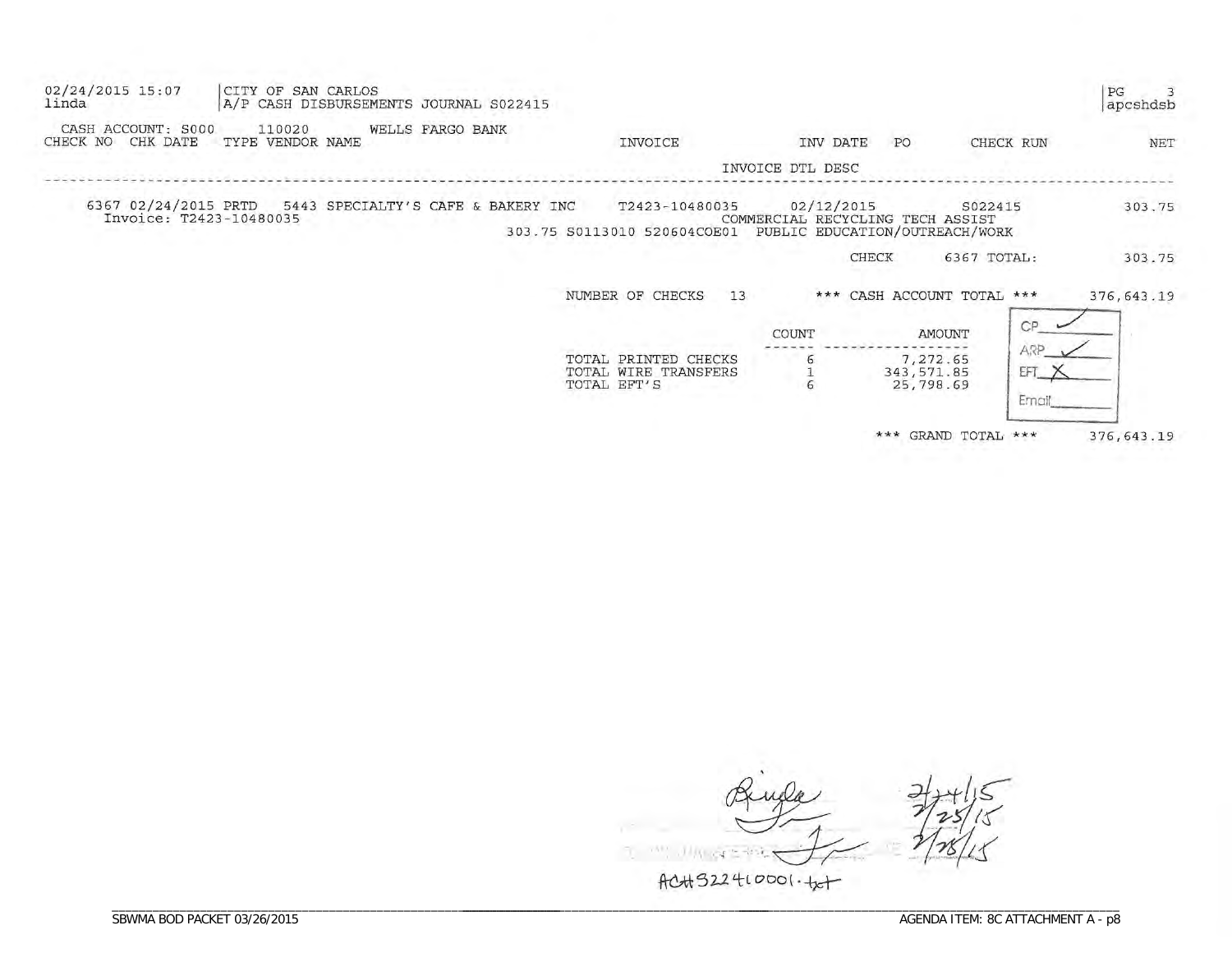| 02/24/2015 15:07<br>CITY OF SAN CARLOS<br>linda<br>A/P CASH DISBURSEMENTS JOURNAL S022415    |                                                             |                                                                                  |                                      |                      | PG<br>apcshdsb |
|----------------------------------------------------------------------------------------------|-------------------------------------------------------------|----------------------------------------------------------------------------------|--------------------------------------|----------------------|----------------|
| CASH ACCOUNT: S000<br>110020<br>WELLS FARGO BANK<br>CHK DATE<br>CHECK NO<br>TYPE VENDOR NAME | INVOICE                                                     | INV DATE                                                                         | PO                                   | CHECK RUN            | NET            |
|                                                                                              |                                                             | INVOICE DTL DESC                                                                 |                                      |                      |                |
| 6367 02/24/2015 PRTD<br>5443 SPECIALTY'S CAFE & BAKERY INC<br>Invoice: T2423-10480035        | T2423-10480035<br>303.75 S0113010 520604COE01               | 02/12/2015<br>COMMERCIAL RECYCLING TECH ASSIST<br>PUBLIC EDUCATION/OUTREACH/WORK | S022415                              |                      | 303.75         |
|                                                                                              |                                                             | CHECK                                                                            | 6367 TOTAL:                          |                      | 303.75         |
|                                                                                              | NUMBER OF CHECKS<br>13                                      | $***$                                                                            | CASH ACCOUNT TOTAL ***               |                      | 376, 643.19    |
|                                                                                              |                                                             | COUNT                                                                            | AMOUNT                               | CP                   |                |
|                                                                                              | TOTAL PRINTED CHECKS<br>TOTAL WIRE TRANSFERS<br>TOTAL EFT'S | 6                                                                                | 7,272.65<br>343, 571.85<br>25,798.69 | ARP<br>EFT<br>Ernail |                |
|                                                                                              |                                                             |                                                                                  | *** GRAND TOTAL ***                  |                      | 376, 643.19    |

 $\mathcal{H}^{\mathcal{A}}$  $1114$ -ask.  $AC4322410001.+x+$